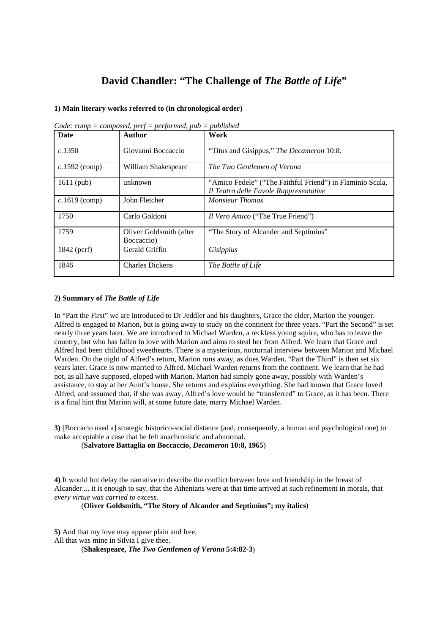## **David Chandler: "The Challenge of** *The Battle of Life***"**

## **1) Main literary works referred to (in chronological order)**

| <b>Date</b>     | <b>Author</b>                         | Work                                                                                                |
|-----------------|---------------------------------------|-----------------------------------------------------------------------------------------------------|
| c.1350          | Giovanni Boccaccio                    | "Titus and Gisippus," The Decameron 10:8.                                                           |
| $c.1592$ (comp) | William Shakespeare                   | The Two Gentlemen of Verona                                                                         |
| 1611 (pub)      | unknown                               | "Amico Fedele" ("The Faithful Friend") in Flaminio Scala,<br>Il Teatro delle Favole Rappresentative |
| $c.1619$ (comp) | John Fletcher                         | <b>Monsieur Thomas</b>                                                                              |
| 1750            | Carlo Goldoni                         | <i>Il Vero Amico</i> ("The True Friend")                                                            |
| 1759            | Oliver Goldsmith (after<br>Boccaccio) | "The Story of Alcander and Septimius"                                                               |
| 1842 (perf)     | Gerald Griffin                        | Gisippius                                                                                           |
| 1846            | <b>Charles Dickens</b>                | The Battle of Life                                                                                  |

*Code: comp = composed, perf = performed, pub = published*

## **2) Summary of** *The Battle of Life*

In "Part the First" we are introduced to Dr Jeddler and his daughters, Grace the elder, Marion the younger. Alfred is engaged to Marion, but is going away to study on the continent for three years. "Part the Second" is set nearly three years later. We are introduced to Michael Warden, a reckless young squire, who has to leave the country, but who has fallen in love with Marion and aims to steal her from Alfred. We learn that Grace and Alfred had been childhood sweethearts. There is a mysterious, nocturnal interview between Marion and Michael Warden. On the night of Alfred's return, Marion runs away, as does Warden. "Part the Third" is then set six years later. Grace is now married to Alfred. Michael Warden returns from the continent. We learn that he had not, as all have supposed, eloped with Marion. Marion had simply gone away, possibly with Warden's assistance, to stay at her Aunt's house. She returns and explains everything. She had known that Grace loved Alfred, and assumed that, if she was away, Alfred's love would be "transferred" to Grace, as it has been. There is a final hint that Marion will, at some future date, marry Michael Warden.

**3)** [Boccacio used a] strategic historico-social distance (and, consequently, a human and psychological one) to make acceptable a case that he felt anachronistic and abnormal.

(**Salvatore Battaglia on Boccaccio,** *Decameron* **10:8, 1965**)

**4)** It would but delay the narrative to describe the conflict between love and friendship in the breast of Alcander ... it is enough to say, that the Athenians were at that time arrived at such refinement in morals, that *every virtue was carried to excess*.

(**Oliver Goldsmith, "The Story of Alcander and Septimius"; my italics**)

**5)** And that my love may appear plain and free, All that was mine in Silvia I give thee. (**Shakespeare,** *The Two Gentlemen of Verona* **5:4:82-3**)